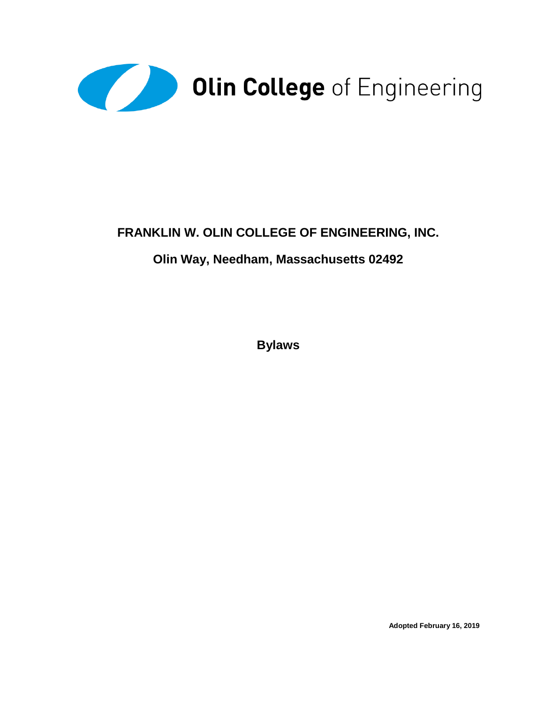

# **FRANKLIN W. OLIN COLLEGE OF ENGINEERING, INC.**

# **Olin Way, Needham, Massachusetts 02492**

**Bylaws**

**Adopted February 16, 2019**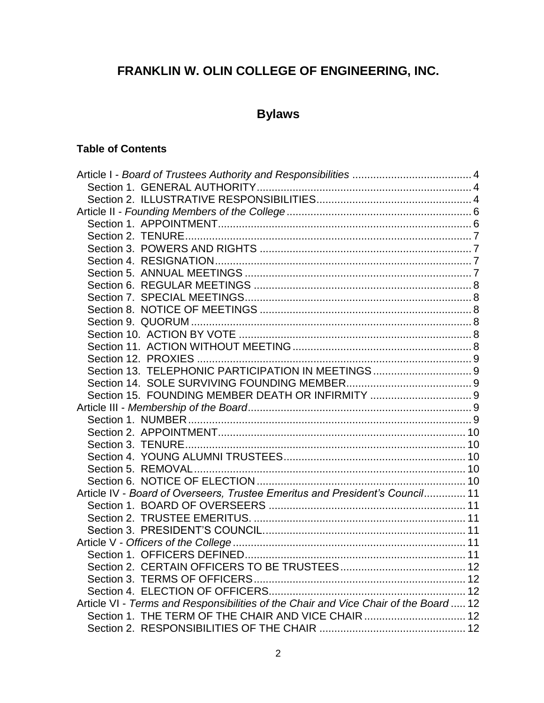# **FRANKLIN W. OLIN COLLEGE OF ENGINEERING, INC.**

# **Bylaws**

### **Table of Contents**

| Article IV - Board of Overseers, Trustee Emeritus and President's Council 11        |  |
|-------------------------------------------------------------------------------------|--|
|                                                                                     |  |
|                                                                                     |  |
|                                                                                     |  |
|                                                                                     |  |
|                                                                                     |  |
|                                                                                     |  |
|                                                                                     |  |
|                                                                                     |  |
| Article VI - Terms and Responsibilities of the Chair and Vice Chair of the Board 12 |  |
| Section 1. THE TERM OF THE CHAIR AND VICE CHAIR  12                                 |  |
|                                                                                     |  |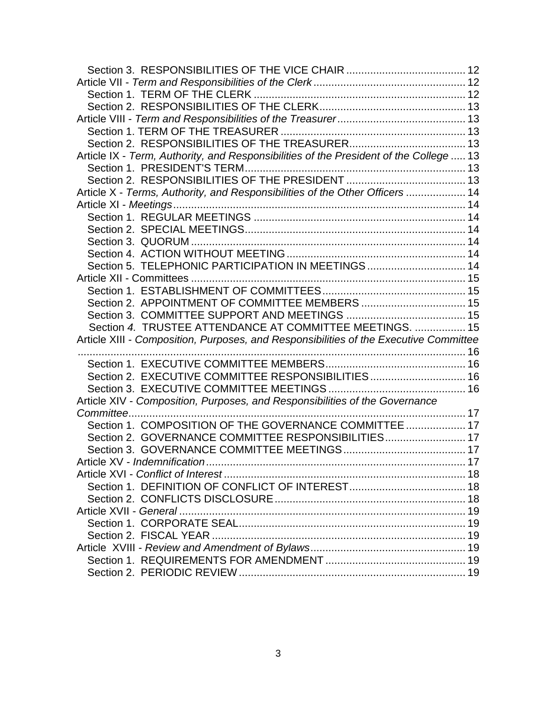| Article IX - Term, Authority, and Responsibilities of the President of the College  13 |  |
|----------------------------------------------------------------------------------------|--|
|                                                                                        |  |
|                                                                                        |  |
| Article X - Terms, Authority, and Responsibilities of the Other Officers  14           |  |
|                                                                                        |  |
|                                                                                        |  |
|                                                                                        |  |
|                                                                                        |  |
|                                                                                        |  |
| Section 5. TELEPHONIC PARTICIPATION IN MEETINGS  14                                    |  |
|                                                                                        |  |
|                                                                                        |  |
| Section 2. APPOINTMENT OF COMMITTEE MEMBERS  15                                        |  |
|                                                                                        |  |
| Section 4. TRUSTEE ATTENDANCE AT COMMITTEE MEETINGS.  15                               |  |
| Article XIII - Composition, Purposes, and Responsibilities of the Executive Committee  |  |
|                                                                                        |  |
|                                                                                        |  |
| Section 2. EXECUTIVE COMMITTEE RESPONSIBILITIES 16                                     |  |
|                                                                                        |  |
| Article XIV - Composition, Purposes, and Responsibilities of the Governance            |  |
|                                                                                        |  |
| Section 1. COMPOSITION OF THE GOVERNANCE COMMITTEE  17                                 |  |
| Section 2. GOVERNANCE COMMITTEE RESPONSIBILITIES 17                                    |  |
|                                                                                        |  |
|                                                                                        |  |
|                                                                                        |  |
|                                                                                        |  |
|                                                                                        |  |
|                                                                                        |  |
|                                                                                        |  |
|                                                                                        |  |
|                                                                                        |  |
|                                                                                        |  |
|                                                                                        |  |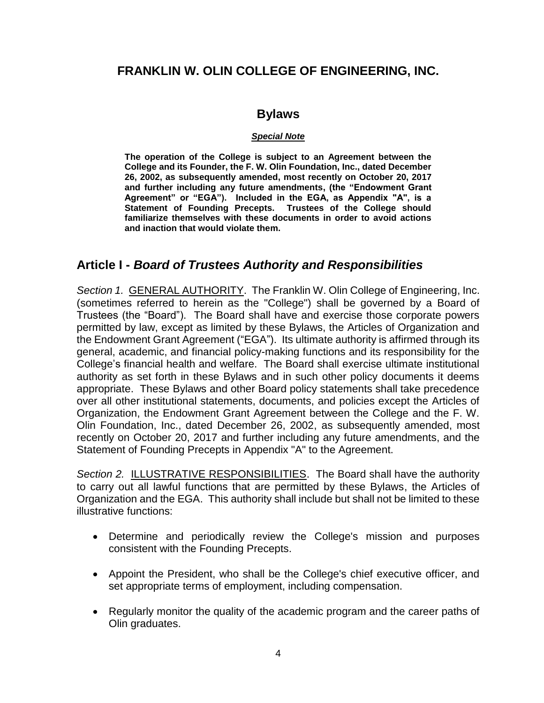#### **FRANKLIN W. OLIN COLLEGE OF ENGINEERING, INC.**

#### **Bylaws**

#### *Special Note*

**The operation of the College is subject to an Agreement between the College and its Founder, the F. W. Olin Foundation, Inc., dated December 26, 2002, as subsequently amended, most recently on October 20, 2017 and further including any future amendments, (the "Endowment Grant Agreement" or "EGA"). Included in the EGA, as Appendix "A", is a Statement of Founding Precepts. Trustees of the College should familiarize themselves with these documents in order to avoid actions and inaction that would violate them.**

#### <span id="page-3-0"></span>**Article I -** *Board of Trustees Authority and Responsibilities*

<span id="page-3-1"></span>*Section 1.* GENERAL AUTHORITY.The Franklin W. Olin College of Engineering, Inc. (sometimes referred to herein as the "College") shall be governed by a Board of Trustees (the "Board"). The Board shall have and exercise those corporate powers permitted by law, except as limited by these Bylaws, the Articles of Organization and the Endowment Grant Agreement ("EGA"). Its ultimate authority is affirmed through its general, academic, and financial policy-making functions and its responsibility for the College's financial health and welfare. The Board shall exercise ultimate institutional authority as set forth in these Bylaws and in such other policy documents it deems appropriate. These Bylaws and other Board policy statements shall take precedence over all other institutional statements, documents, and policies except the Articles of Organization, the Endowment Grant Agreement between the College and the F. W. Olin Foundation, Inc., dated December 26, 2002, as subsequently amended, most recently on October 20, 2017 and further including any future amendments, and the Statement of Founding Precepts in Appendix "A" to the Agreement.

<span id="page-3-2"></span>*Section 2.* ILLUSTRATIVE RESPONSIBILITIES. The Board shall have the authority to carry out all lawful functions that are permitted by these Bylaws, the Articles of Organization and the EGA. This authority shall include but shall not be limited to these illustrative functions:

- Determine and periodically review the College's mission and purposes consistent with the Founding Precepts.
- Appoint the President, who shall be the College's chief executive officer, and set appropriate terms of employment, including compensation.
- Regularly monitor the quality of the academic program and the career paths of Olin graduates.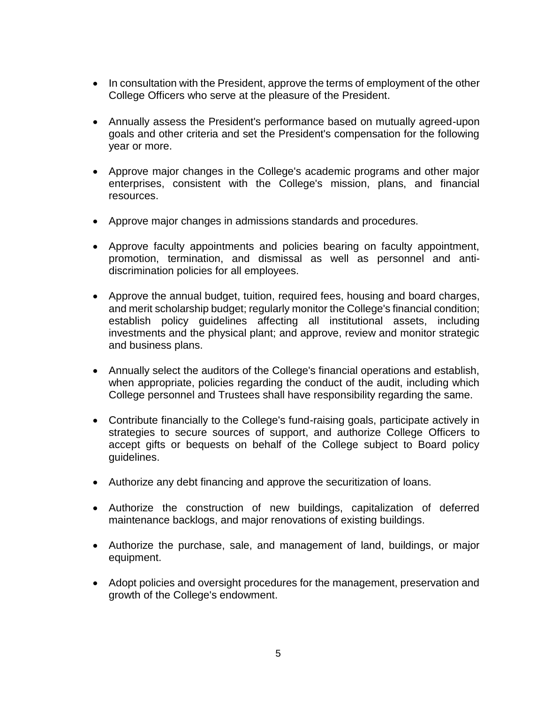- In consultation with the President, approve the terms of employment of the other College Officers who serve at the pleasure of the President.
- Annually assess the President's performance based on mutually agreed-upon goals and other criteria and set the President's compensation for the following year or more.
- Approve major changes in the College's academic programs and other major enterprises, consistent with the College's mission, plans, and financial resources.
- Approve major changes in admissions standards and procedures.
- Approve faculty appointments and policies bearing on faculty appointment, promotion, termination, and dismissal as well as personnel and antidiscrimination policies for all employees.
- Approve the annual budget, tuition, required fees, housing and board charges, and merit scholarship budget; regularly monitor the College's financial condition; establish policy guidelines affecting all institutional assets, including investments and the physical plant; and approve, review and monitor strategic and business plans.
- Annually select the auditors of the College's financial operations and establish, when appropriate, policies regarding the conduct of the audit, including which College personnel and Trustees shall have responsibility regarding the same.
- Contribute financially to the College's fund-raising goals, participate actively in strategies to secure sources of support, and authorize College Officers to accept gifts or bequests on behalf of the College subject to Board policy guidelines.
- Authorize any debt financing and approve the securitization of loans.
- Authorize the construction of new buildings, capitalization of deferred maintenance backlogs, and major renovations of existing buildings.
- Authorize the purchase, sale, and management of land, buildings, or major equipment.
- Adopt policies and oversight procedures for the management, preservation and growth of the College's endowment.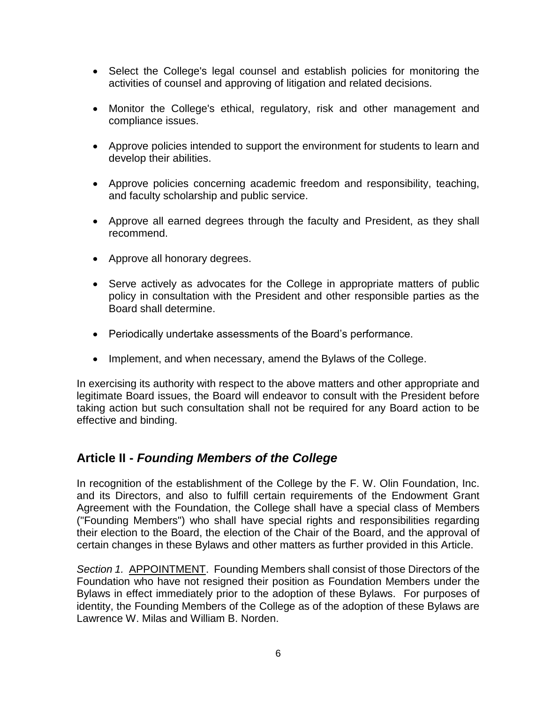- Select the College's legal counsel and establish policies for monitoring the activities of counsel and approving of litigation and related decisions.
- Monitor the College's ethical, regulatory, risk and other management and compliance issues.
- Approve policies intended to support the environment for students to learn and develop their abilities.
- Approve policies concerning academic freedom and responsibility, teaching, and faculty scholarship and public service.
- Approve all earned degrees through the faculty and President, as they shall recommend.
- Approve all honorary degrees.
- Serve actively as advocates for the College in appropriate matters of public policy in consultation with the President and other responsible parties as the Board shall determine.
- Periodically undertake assessments of the Board's performance.
- Implement, and when necessary, amend the Bylaws of the College.

In exercising its authority with respect to the above matters and other appropriate and legitimate Board issues, the Board will endeavor to consult with the President before taking action but such consultation shall not be required for any Board action to be effective and binding.

### <span id="page-5-0"></span>**Article II -** *Founding Members of the College*

In recognition of the establishment of the College by the F. W. Olin Foundation, Inc. and its Directors, and also to fulfill certain requirements of the Endowment Grant Agreement with the Foundation, the College shall have a special class of Members ("Founding Members") who shall have special rights and responsibilities regarding their election to the Board, the election of the Chair of the Board, and the approval of certain changes in these Bylaws and other matters as further provided in this Article.

<span id="page-5-1"></span>*Section 1.* APPOINTMENT. Founding Members shall consist of those Directors of the Foundation who have not resigned their position as Foundation Members under the Bylaws in effect immediately prior to the adoption of these Bylaws. For purposes of identity, the Founding Members of the College as of the adoption of these Bylaws are Lawrence W. Milas and William B. Norden.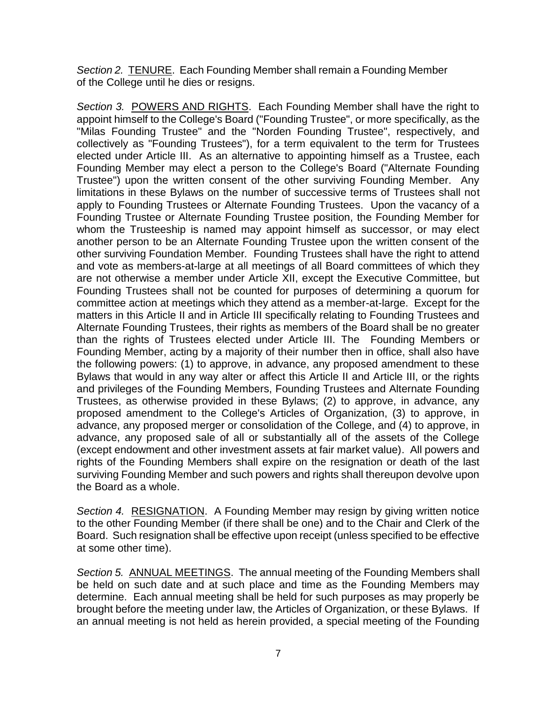<span id="page-6-0"></span>*Section 2.* TENURE. Each Founding Member shall remain a Founding Member of the College until he dies or resigns.

<span id="page-6-1"></span>*Section 3.* POWERS AND RIGHTS. Each Founding Member shall have the right to appoint himself to the College's Board ("Founding Trustee", or more specifically, as the "Milas Founding Trustee" and the "Norden Founding Trustee", respectively, and collectively as "Founding Trustees"), for a term equivalent to the term for Trustees elected under Article III. As an alternative to appointing himself as a Trustee, each Founding Member may elect a person to the College's Board ("Alternate Founding Trustee") upon the written consent of the other surviving Founding Member. Any limitations in these Bylaws on the number of successive terms of Trustees shall not apply to Founding Trustees or Alternate Founding Trustees. Upon the vacancy of a Founding Trustee or Alternate Founding Trustee position, the Founding Member for whom the Trusteeship is named may appoint himself as successor, or may elect another person to be an Alternate Founding Trustee upon the written consent of the other surviving Foundation Member*.* Founding Trustees shall have the right to attend and vote as members-at-large at all meetings of all Board committees of which they are not otherwise a member under Article XII, except the Executive Committee, but Founding Trustees shall not be counted for purposes of determining a quorum for committee action at meetings which they attend as a member-at-large. Except for the matters in this Article II and in Article III specifically relating to Founding Trustees and Alternate Founding Trustees, their rights as members of the Board shall be no greater than the rights of Trustees elected under Article III. The Founding Members or Founding Member, acting by a majority of their number then in office, shall also have the following powers: (1) to approve, in advance, any proposed amendment to these Bylaws that would in any way alter or affect this Article II and Article III, or the rights and privileges of the Founding Members, Founding Trustees and Alternate Founding Trustees, as otherwise provided in these Bylaws; (2) to approve, in advance, any proposed amendment to the College's Articles of Organization, (3) to approve, in advance, any proposed merger or consolidation of the College, and (4) to approve, in advance, any proposed sale of all or substantially all of the assets of the College (except endowment and other investment assets at fair market value). All powers and rights of the Founding Members shall expire on the resignation or death of the last surviving Founding Member and such powers and rights shall thereupon devolve upon the Board as a whole.

<span id="page-6-2"></span>*Section 4.* RESIGNATION. A Founding Member may resign by giving written notice to the other Founding Member (if there shall be one) and to the Chair and Clerk of the Board. Such resignation shall be effective upon receipt (unless specified to be effective at some other time).

<span id="page-6-3"></span>*Section 5.* ANNUAL MEETINGS. The annual meeting of the Founding Members shall be held on such date and at such place and time as the Founding Members may determine. Each annual meeting shall be held for such purposes as may properly be brought before the meeting under law, the Articles of Organization, or these Bylaws. If an annual meeting is not held as herein provided, a special meeting of the Founding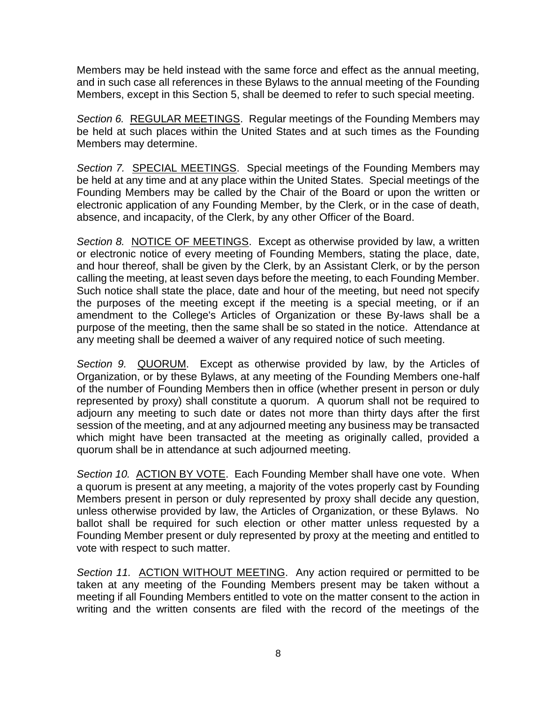Members may be held instead with the same force and effect as the annual meeting, and in such case all references in these Bylaws to the annual meeting of the Founding Members, except in this Section 5, shall be deemed to refer to such special meeting.

<span id="page-7-0"></span>*Section 6.* REGULAR MEETINGS. Regular meetings of the Founding Members may be held at such places within the United States and at such times as the Founding Members may determine.

<span id="page-7-1"></span>*Section 7.* SPECIAL MEETINGS. Special meetings of the Founding Members may be held at any time and at any place within the United States. Special meetings of the Founding Members may be called by the Chair of the Board or upon the written or electronic application of any Founding Member, by the Clerk, or in the case of death, absence, and incapacity, of the Clerk, by any other Officer of the Board.

<span id="page-7-2"></span>*Section 8.* NOTICE OF MEETINGS. Except as otherwise provided by law, a written or electronic notice of every meeting of Founding Members, stating the place, date, and hour thereof, shall be given by the Clerk, by an Assistant Clerk, or by the person calling the meeting, at least seven days before the meeting, to each Founding Member. Such notice shall state the place, date and hour of the meeting, but need not specify the purposes of the meeting except if the meeting is a special meeting, or if an amendment to the College's Articles of Organization or these By-laws shall be a purpose of the meeting, then the same shall be so stated in the notice. Attendance at any meeting shall be deemed a waiver of any required notice of such meeting.

<span id="page-7-3"></span>*Section 9.* QUORUM. Except as otherwise provided by law, by the Articles of Organization, or by these Bylaws, at any meeting of the Founding Members one-half of the number of Founding Members then in office (whether present in person or duly represented by proxy) shall constitute a quorum. A quorum shall not be required to adjourn any meeting to such date or dates not more than thirty days after the first session of the meeting, and at any adjourned meeting any business may be transacted which might have been transacted at the meeting as originally called, provided a quorum shall be in attendance at such adjourned meeting.

<span id="page-7-4"></span>*Section 10.* ACTION BY VOTE. Each Founding Member shall have one vote. When a quorum is present at any meeting, a majority of the votes properly cast by Founding Members present in person or duly represented by proxy shall decide any question, unless otherwise provided by law, the Articles of Organization, or these Bylaws. No ballot shall be required for such election or other matter unless requested by a Founding Member present or duly represented by proxy at the meeting and entitled to vote with respect to such matter.

<span id="page-7-5"></span>*Section 11.* ACTION WITHOUT MEETING. Any action required or permitted to be taken at any meeting of the Founding Members present may be taken without a meeting if all Founding Members entitled to vote on the matter consent to the action in writing and the written consents are filed with the record of the meetings of the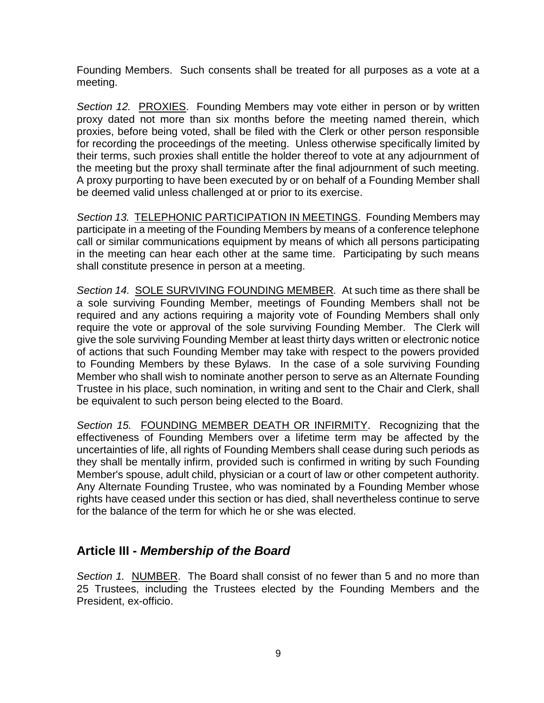Founding Members. Such consents shall be treated for all purposes as a vote at a meeting.

<span id="page-8-0"></span>*Section 12. PROXIES.* Founding Members may vote either in person or by written proxy dated not more than six months before the meeting named therein, which proxies, before being voted, shall be filed with the Clerk or other person responsible for recording the proceedings of the meeting. Unless otherwise specifically limited by their terms, such proxies shall entitle the holder thereof to vote at any adjournment of the meeting but the proxy shall terminate after the final adjournment of such meeting. A proxy purporting to have been executed by or on behalf of a Founding Member shall be deemed valid unless challenged at or prior to its exercise.

<span id="page-8-1"></span>*Section 13.* TELEPHONIC PARTICIPATION IN MEETINGS. Founding Members may participate in a meeting of the Founding Members by means of a conference telephone call or similar communications equipment by means of which all persons participating in the meeting can hear each other at the same time. Participating by such means shall constitute presence in person at a meeting.

<span id="page-8-2"></span>*Section 14.* SOLE SURVIVING FOUNDING MEMBER*.* At such time as there shall be a sole surviving Founding Member, meetings of Founding Members shall not be required and any actions requiring a majority vote of Founding Members shall only require the vote or approval of the sole surviving Founding Member. The Clerk will give the sole surviving Founding Member at least thirty days written or electronic notice of actions that such Founding Member may take with respect to the powers provided to Founding Members by these Bylaws. In the case of a sole surviving Founding Member who shall wish to nominate another person to serve as an Alternate Founding Trustee in his place, such nomination, in writing and sent to the Chair and Clerk, shall be equivalent to such person being elected to the Board.

<span id="page-8-3"></span>*Section 15.* FOUNDING MEMBER DEATH OR INFIRMITY. Recognizing that the effectiveness of Founding Members over a lifetime term may be affected by the uncertainties of life, all rights of Founding Members shall cease during such periods as they shall be mentally infirm, provided such is confirmed in writing by such Founding Member's spouse, adult child, physician or a court of law or other competent authority. Any Alternate Founding Trustee, who was nominated by a Founding Member whose rights have ceased under this section or has died, shall nevertheless continue to serve for the balance of the term for which he or she was elected.

### <span id="page-8-4"></span>**Article III -** *Membership of the Board*

<span id="page-8-5"></span>*Section 1.* NUMBER. The Board shall consist of no fewer than 5 and no more than 25 Trustees, including the Trustees elected by the Founding Members and the President, ex-officio.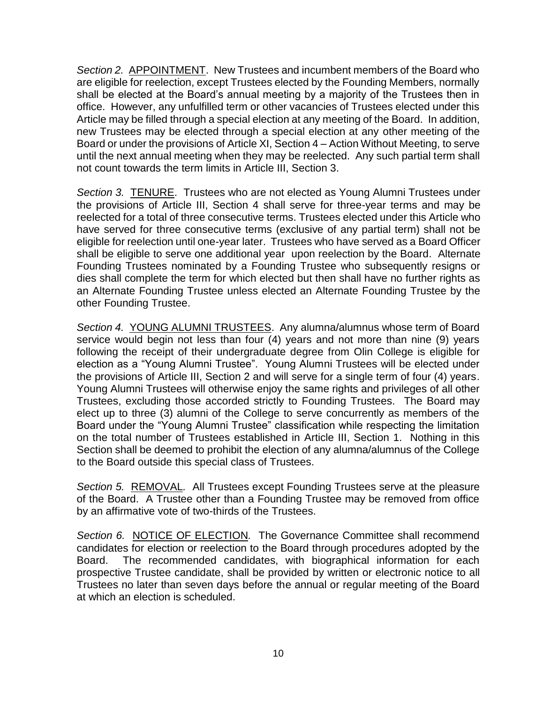<span id="page-9-0"></span>*Section 2.* APPOINTMENT. New Trustees and incumbent members of the Board who are eligible for reelection, except Trustees elected by the Founding Members, normally shall be elected at the Board's annual meeting by a majority of the Trustees then in office. However, any unfulfilled term or other vacancies of Trustees elected under this Article may be filled through a special election at any meeting of the Board. In addition, new Trustees may be elected through a special election at any other meeting of the Board or under the provisions of Article XI, Section 4 – Action Without Meeting, to serve until the next annual meeting when they may be reelected. Any such partial term shall not count towards the term limits in Article III, Section 3.

<span id="page-9-1"></span>*Section 3.* TENURE. Trustees who are not elected as Young Alumni Trustees under the provisions of Article III, Section 4 shall serve for three-year terms and may be reelected for a total of three consecutive terms. Trustees elected under this Article who have served for three consecutive terms (exclusive of any partial term) shall not be eligible for reelection until one-year later. Trustees who have served as a Board Officer shall be eligible to serve one additional year upon reelection by the Board. Alternate Founding Trustees nominated by a Founding Trustee who subsequently resigns or dies shall complete the term for which elected but then shall have no further rights as an Alternate Founding Trustee unless elected an Alternate Founding Trustee by the other Founding Trustee.

<span id="page-9-2"></span>*Section 4.* YOUNG ALUMNI TRUSTEES. Any alumna/alumnus whose term of Board service would begin not less than four (4) years and not more than nine (9) years following the receipt of their undergraduate degree from Olin College is eligible for election as a "Young Alumni Trustee". Young Alumni Trustees will be elected under the provisions of Article III, Section 2 and will serve for a single term of four (4) years. Young Alumni Trustees will otherwise enjoy the same rights and privileges of all other Trustees, excluding those accorded strictly to Founding Trustees. The Board may elect up to three (3) alumni of the College to serve concurrently as members of the Board under the "Young Alumni Trustee" classification while respecting the limitation on the total number of Trustees established in Article III, Section 1. Nothing in this Section shall be deemed to prohibit the election of any alumna/alumnus of the College to the Board outside this special class of Trustees.

<span id="page-9-3"></span>*Section 5.* REMOVAL*.* All Trustees except Founding Trustees serve at the pleasure of the Board. A Trustee other than a Founding Trustee may be removed from office by an affirmative vote of two-thirds of the Trustees.

<span id="page-9-4"></span>*Section 6.* NOTICE OF ELECTION*.* The Governance Committee shall recommend candidates for election or reelection to the Board through procedures adopted by the Board. The recommended candidates, with biographical information for each prospective Trustee candidate, shall be provided by written or electronic notice to all Trustees no later than seven days before the annual or regular meeting of the Board at which an election is scheduled.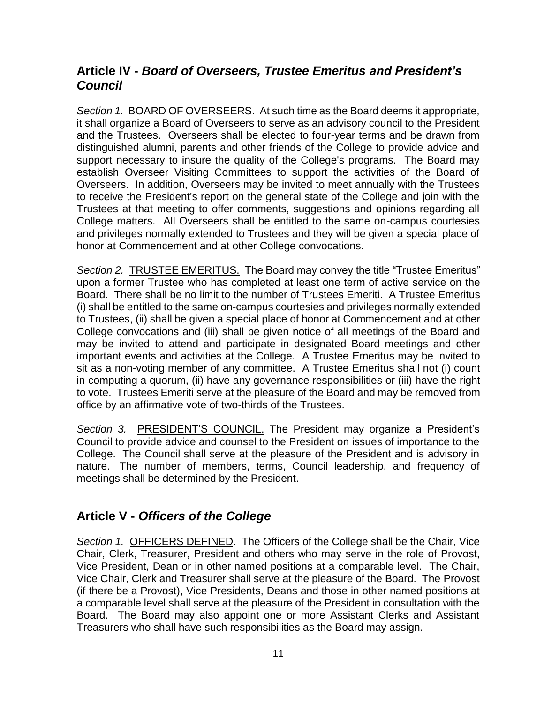# <span id="page-10-0"></span>**Article IV -** *Board of Overseers, Trustee Emeritus and President's Council*

<span id="page-10-1"></span>*Section 1.* BOARD OF OVERSEERS. At such time as the Board deems it appropriate, it shall organize a Board of Overseers to serve as an advisory council to the President and the Trustees. Overseers shall be elected to four-year terms and be drawn from distinguished alumni, parents and other friends of the College to provide advice and support necessary to insure the quality of the College's programs. The Board may establish Overseer Visiting Committees to support the activities of the Board of Overseers. In addition, Overseers may be invited to meet annually with the Trustees to receive the President's report on the general state of the College and join with the Trustees at that meeting to offer comments, suggestions and opinions regarding all College matters. All Overseers shall be entitled to the same on-campus courtesies and privileges normally extended to Trustees and they will be given a special place of honor at Commencement and at other College convocations.

<span id="page-10-2"></span>*Section 2.* TRUSTEE EMERITUS. The Board may convey the title "Trustee Emeritus" upon a former Trustee who has completed at least one term of active service on the Board. There shall be no limit to the number of Trustees Emeriti. A Trustee Emeritus (i) shall be entitled to the same on-campus courtesies and privileges normally extended to Trustees, (ii) shall be given a special place of honor at Commencement and at other College convocations and (iii) shall be given notice of all meetings of the Board and may be invited to attend and participate in designated Board meetings and other important events and activities at the College. A Trustee Emeritus may be invited to sit as a non-voting member of any committee. A Trustee Emeritus shall not (i) count in computing a quorum, (ii) have any governance responsibilities or (iii) have the right to vote. Trustees Emeriti serve at the pleasure of the Board and may be removed from office by an affirmative vote of two-thirds of the Trustees.

<span id="page-10-3"></span>*Section 3.* PRESIDENT'S COUNCIL. The President may organize a President's Council to provide advice and counsel to the President on issues of importance to the College. The Council shall serve at the pleasure of the President and is advisory in nature. The number of members, terms, Council leadership, and frequency of meetings shall be determined by the President.

# <span id="page-10-4"></span>**Article V -** *Officers of the College*

<span id="page-10-5"></span>*Section 1.* OFFICERS DEFINED.The Officers of the College shall be the Chair, Vice Chair, Clerk, Treasurer, President and others who may serve in the role of Provost, Vice President, Dean or in other named positions at a comparable level. The Chair, Vice Chair, Clerk and Treasurer shall serve at the pleasure of the Board. The Provost (if there be a Provost), Vice Presidents, Deans and those in other named positions at a comparable level shall serve at the pleasure of the President in consultation with the Board. The Board may also appoint one or more Assistant Clerks and Assistant Treasurers who shall have such responsibilities as the Board may assign.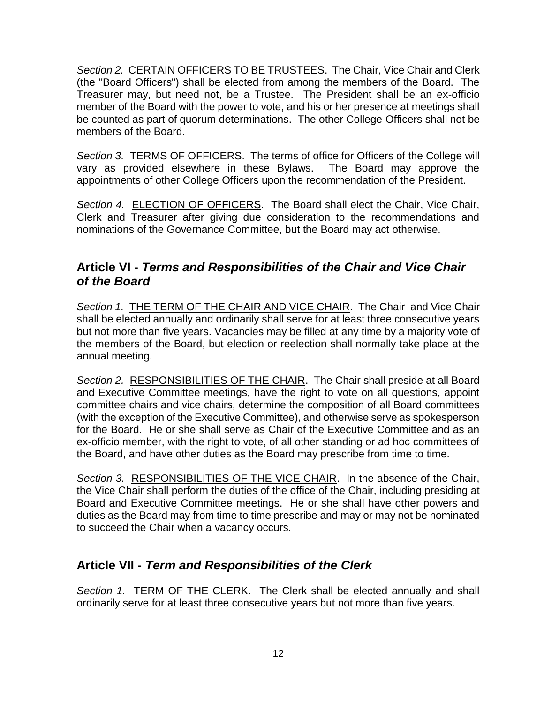<span id="page-11-0"></span>*Section 2.* CERTAIN OFFICERS TO BE TRUSTEES.The Chair, Vice Chair and Clerk (the "Board Officers") shall be elected from among the members of the Board. The Treasurer may, but need not, be a Trustee. The President shall be an ex-officio member of the Board with the power to vote, and his or her presence at meetings shall be counted as part of quorum determinations. The other College Officers shall not be members of the Board.

<span id="page-11-1"></span>Section 3. **TERMS OF OFFICERS**. The terms of office for Officers of the College will vary as provided elsewhere in these Bylaws. The Board may approve the appointments of other College Officers upon the recommendation of the President.

<span id="page-11-2"></span>Section 4. **ELECTION OF OFFICERS**. The Board shall elect the Chair, Vice Chair, Clerk and Treasurer after giving due consideration to the recommendations and nominations of the Governance Committee, but the Board may act otherwise.

### <span id="page-11-3"></span>**Article VI -** *Terms and Responsibilities of the Chair and Vice Chair of the Board*

<span id="page-11-4"></span>Section 1. **THE TERM OF THE CHAIR AND VICE CHAIR**. The Chair and Vice Chair shall be elected annually and ordinarily shall serve for at least three consecutive years but not more than five years. Vacancies may be filled at any time by a majority vote of the members of the Board, but election or reelection shall normally take place at the annual meeting.

<span id="page-11-5"></span>Section 2. RESPONSIBILITIES OF THE CHAIR. The Chair shall preside at all Board and Executive Committee meetings, have the right to vote on all questions, appoint committee chairs and vice chairs, determine the composition of all Board committees (with the exception of the Executive Committee), and otherwise serve as spokesperson for the Board. He or she shall serve as Chair of the Executive Committee and as an ex-officio member, with the right to vote, of all other standing or ad hoc committees of the Board, and have other duties as the Board may prescribe from time to time.

<span id="page-11-6"></span>*Section 3.* RESPONSIBILITIES OF THE VICE CHAIR. In the absence of the Chair, the Vice Chair shall perform the duties of the office of the Chair, including presiding at Board and Executive Committee meetings. He or she shall have other powers and duties as the Board may from time to time prescribe and may or may not be nominated to succeed the Chair when a vacancy occurs.

# <span id="page-11-7"></span>**Article VII -** *Term and Responsibilities of the Clerk*

<span id="page-11-8"></span>*Section 1.* TERM OF THE CLERK. The Clerk shall be elected annually and shall ordinarily serve for at least three consecutive years but not more than five years.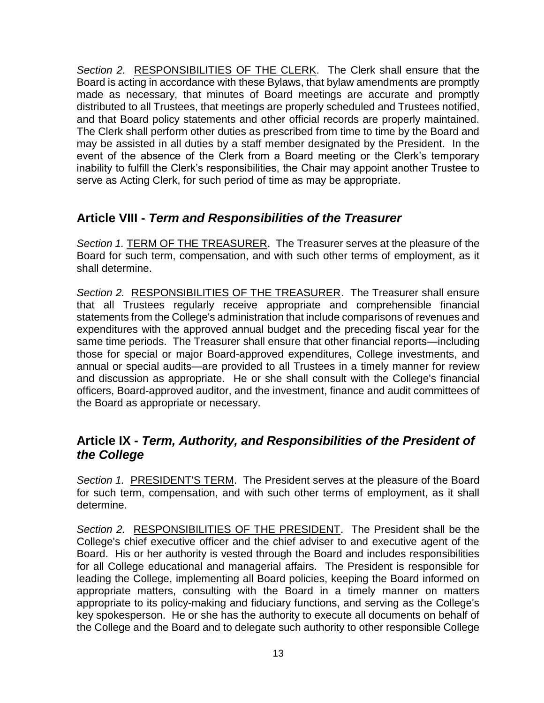<span id="page-12-0"></span>*Section 2.* RESPONSIBILITIES OF THE CLERK. The Clerk shall ensure that the Board is acting in accordance with these Bylaws, that bylaw amendments are promptly made as necessary, that minutes of Board meetings are accurate and promptly distributed to all Trustees, that meetings are properly scheduled and Trustees notified, and that Board policy statements and other official records are properly maintained. The Clerk shall perform other duties as prescribed from time to time by the Board and may be assisted in all duties by a staff member designated by the President. In the event of the absence of the Clerk from a Board meeting or the Clerk's temporary inability to fulfill the Clerk's responsibilities, the Chair may appoint another Trustee to serve as Acting Clerk, for such period of time as may be appropriate.

# <span id="page-12-1"></span>**Article VIII -** *Term and Responsibilities of the Treasurer*

<span id="page-12-2"></span>Section 1. **TERM OF THE TREASURER**. The Treasurer serves at the pleasure of the Board for such term, compensation, and with such other terms of employment, as it shall determine.

<span id="page-12-3"></span>*Section 2.* RESPONSIBILITIES OF THE TREASURER. The Treasurer shall ensure that all Trustees regularly receive appropriate and comprehensible financial statements from the College's administration that include comparisons of revenues and expenditures with the approved annual budget and the preceding fiscal year for the same time periods. The Treasurer shall ensure that other financial reports—including those for special or major Board-approved expenditures, College investments, and annual or special audits—are provided to all Trustees in a timely manner for review and discussion as appropriate. He or she shall consult with the College's financial officers, Board-approved auditor, and the investment, finance and audit committees of the Board as appropriate or necessary.

# <span id="page-12-4"></span>**Article IX -** *Term, Authority, and Responsibilities of the President of the College*

<span id="page-12-5"></span>Section 1. PRESIDENT'S TERM. The President serves at the pleasure of the Board for such term, compensation, and with such other terms of employment, as it shall determine.

<span id="page-12-6"></span>*Section 2.* RESPONSIBILITIES OF THE PRESIDENT. The President shall be the College's chief executive officer and the chief adviser to and executive agent of the Board. His or her authority is vested through the Board and includes responsibilities for all College educational and managerial affairs. The President is responsible for leading the College, implementing all Board policies, keeping the Board informed on appropriate matters, consulting with the Board in a timely manner on matters appropriate to its policy-making and fiduciary functions, and serving as the College's key spokesperson. He or she has the authority to execute all documents on behalf of the College and the Board and to delegate such authority to other responsible College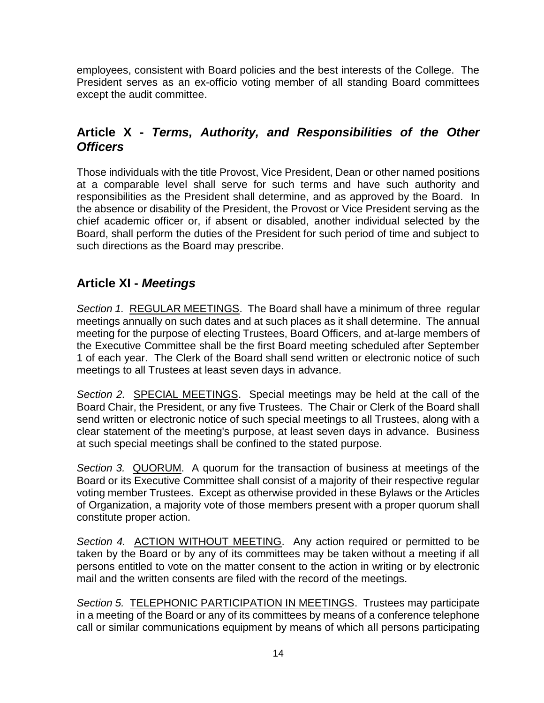employees, consistent with Board policies and the best interests of the College. The President serves as an ex-officio voting member of all standing Board committees except the audit committee.

# <span id="page-13-0"></span>**Article X -** *Terms, Authority, and Responsibilities of the Other Officers*

Those individuals with the title Provost, Vice President, Dean or other named positions at a comparable level shall serve for such terms and have such authority and responsibilities as the President shall determine, and as approved by the Board. In the absence or disability of the President, the Provost or Vice President serving as the chief academic officer or, if absent or disabled, another individual selected by the Board, shall perform the duties of the President for such period of time and subject to such directions as the Board may prescribe.

# <span id="page-13-1"></span>**Article XI -** *Meetings*

<span id="page-13-2"></span>*Section 1.* REGULAR MEETINGS. The Board shall have a minimum of three regular meetings annually on such dates and at such places as it shall determine. The annual meeting for the purpose of electing Trustees, Board Officers, and at-large members of the Executive Committee shall be the first Board meeting scheduled after September 1 of each year. The Clerk of the Board shall send written or electronic notice of such meetings to all Trustees at least seven days in advance.

<span id="page-13-3"></span>*Section 2.* SPECIAL MEETINGS. Special meetings may be held at the call of the Board Chair, the President, or any five Trustees. The Chair or Clerk of the Board shall send written or electronic notice of such special meetings to all Trustees, along with a clear statement of the meeting's purpose, at least seven days in advance. Business at such special meetings shall be confined to the stated purpose.

<span id="page-13-4"></span>*Section 3.* QUORUM.A quorum for the transaction of business at meetings of the Board or its Executive Committee shall consist of a majority of their respective regular voting member Trustees. Except as otherwise provided in these Bylaws or the Articles of Organization, a majority vote of those members present with a proper quorum shall constitute proper action.

<span id="page-13-5"></span>Section 4. ACTION WITHOUT MEETING. Any action required or permitted to be taken by the Board or by any of its committees may be taken without a meeting if all persons entitled to vote on the matter consent to the action in writing or by electronic mail and the written consents are filed with the record of the meetings.

<span id="page-13-6"></span>*Section 5.* TELEPHONIC PARTICIPATION IN MEETINGS. Trustees may participate in a meeting of the Board or any of its committees by means of a conference telephone call or similar communications equipment by means of which all persons participating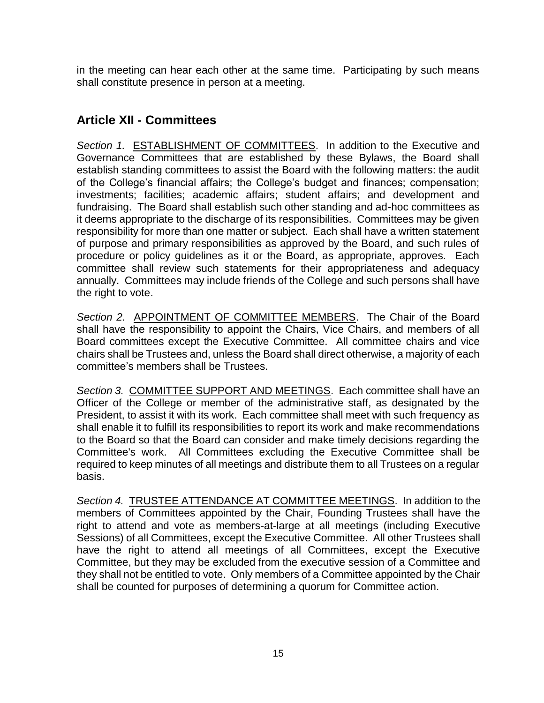in the meeting can hear each other at the same time. Participating by such means shall constitute presence in person at a meeting.

# <span id="page-14-0"></span>**Article XII - Committees**

<span id="page-14-1"></span>*Section 1.* ESTABLISHMENT OF COMMITTEES. In addition to the Executive and Governance Committees that are established by these Bylaws, the Board shall establish standing committees to assist the Board with the following matters: the audit of the College's financial affairs; the College's budget and finances; compensation; investments; facilities; academic affairs; student affairs; and development and fundraising. The Board shall establish such other standing and ad-hoc committees as it deems appropriate to the discharge of its responsibilities. Committees may be given responsibility for more than one matter or subject. Each shall have a written statement of purpose and primary responsibilities as approved by the Board, and such rules of procedure or policy guidelines as it or the Board, as appropriate, approves. Each committee shall review such statements for their appropriateness and adequacy annually. Committees may include friends of the College and such persons shall have the right to vote.

<span id="page-14-2"></span>*Section 2.* APPOINTMENT OF COMMITTEE MEMBERS.The Chair of the Board shall have the responsibility to appoint the Chairs, Vice Chairs, and members of all Board committees except the Executive Committee. All committee chairs and vice chairs shall be Trustees and, unless the Board shall direct otherwise, a majority of each committee's members shall be Trustees.

<span id="page-14-3"></span>*Section 3.* COMMITTEE SUPPORT AND MEETINGS. Each committee shall have an Officer of the College or member of the administrative staff, as designated by the President, to assist it with its work. Each committee shall meet with such frequency as shall enable it to fulfill its responsibilities to report its work and make recommendations to the Board so that the Board can consider and make timely decisions regarding the Committee's work. All Committees excluding the Executive Committee shall be required to keep minutes of all meetings and distribute them to all Trustees on a regular basis.

<span id="page-14-4"></span>*Section 4.* TRUSTEE ATTENDANCE AT COMMITTEE MEETINGS. In addition to the members of Committees appointed by the Chair, Founding Trustees shall have the right to attend and vote as members-at-large at all meetings (including Executive Sessions) of all Committees, except the Executive Committee. All other Trustees shall have the right to attend all meetings of all Committees, except the Executive Committee, but they may be excluded from the executive session of a Committee and they shall not be entitled to vote. Only members of a Committee appointed by the Chair shall be counted for purposes of determining a quorum for Committee action.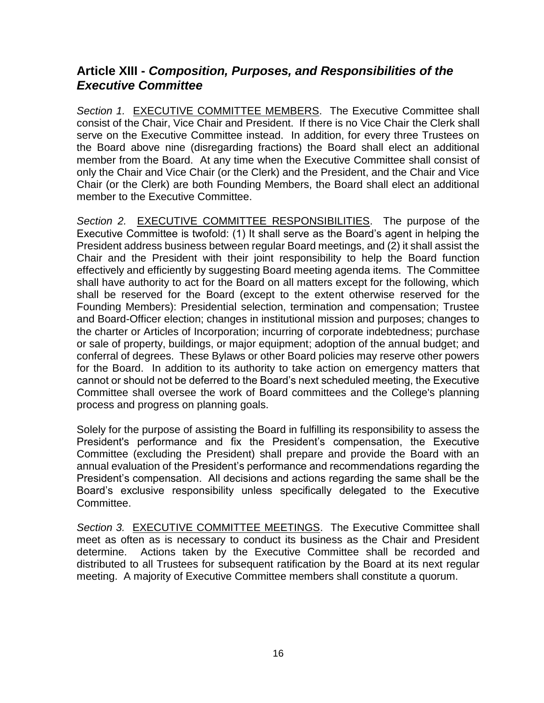# <span id="page-15-0"></span>**Article XIII -** *Composition, Purposes, and Responsibilities of the Executive Committee*

<span id="page-15-1"></span>Section 1. **EXECUTIVE COMMITTEE MEMBERS.** The Executive Committee shall consist of the Chair, Vice Chair and President. If there is no Vice Chair the Clerk shall serve on the Executive Committee instead. In addition, for every three Trustees on the Board above nine (disregarding fractions) the Board shall elect an additional member from the Board. At any time when the Executive Committee shall consist of only the Chair and Vice Chair (or the Clerk) and the President, and the Chair and Vice Chair (or the Clerk) are both Founding Members, the Board shall elect an additional member to the Executive Committee.

<span id="page-15-2"></span>*Section 2.* EXECUTIVE COMMITTEE RESPONSIBILITIES. The purpose of the Executive Committee is twofold: (1) It shall serve as the Board's agent in helping the President address business between regular Board meetings, and (2) it shall assist the Chair and the President with their joint responsibility to help the Board function effectively and efficiently by suggesting Board meeting agenda items. The Committee shall have authority to act for the Board on all matters except for the following, which shall be reserved for the Board (except to the extent otherwise reserved for the Founding Members): Presidential selection, termination and compensation; Trustee and Board-Officer election; changes in institutional mission and purposes; changes to the charter or Articles of Incorporation; incurring of corporate indebtedness; purchase or sale of property, buildings, or major equipment; adoption of the annual budget; and conferral of degrees. These Bylaws or other Board policies may reserve other powers for the Board. In addition to its authority to take action on emergency matters that cannot or should not be deferred to the Board's next scheduled meeting, the Executive Committee shall oversee the work of Board committees and the College's planning process and progress on planning goals.

Solely for the purpose of assisting the Board in fulfilling its responsibility to assess the President's performance and fix the President's compensation, the Executive Committee (excluding the President) shall prepare and provide the Board with an annual evaluation of the President's performance and recommendations regarding the President's compensation. All decisions and actions regarding the same shall be the Board's exclusive responsibility unless specifically delegated to the Executive Committee.

<span id="page-15-3"></span>*Section 3.* EXECUTIVE COMMITTEE MEETINGS.The Executive Committee shall meet as often as is necessary to conduct its business as the Chair and President determine. Actions taken by the Executive Committee shall be recorded and distributed to all Trustees for subsequent ratification by the Board at its next regular meeting. A majority of Executive Committee members shall constitute a quorum.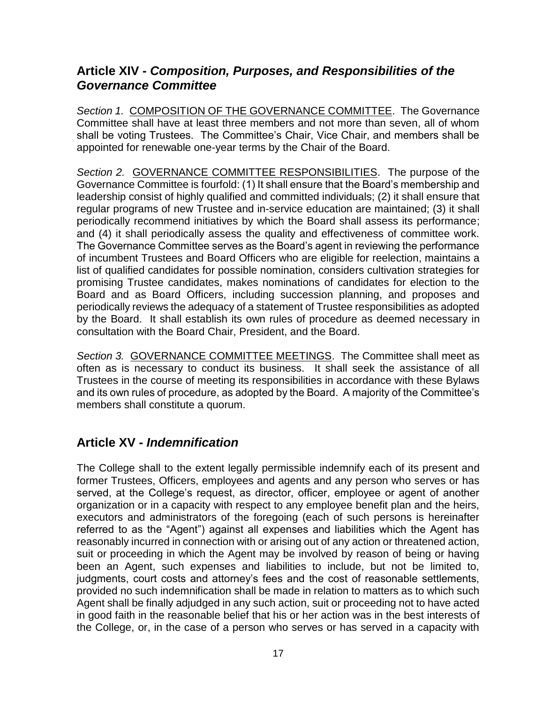## <span id="page-16-0"></span>**Article XIV -** *Composition, Purposes, and Responsibilities of the Governance Committee*

<span id="page-16-1"></span>*Section 1.* COMPOSITION OF THE GOVERNANCE COMMITTEE.The Governance Committee shall have at least three members and not more than seven, all of whom shall be voting Trustees. The Committee's Chair, Vice Chair, and members shall be appointed for renewable one-year terms by the Chair of the Board.

<span id="page-16-2"></span>*Section 2.* GOVERNANCE COMMITTEE RESPONSIBILITIES.The purpose of the Governance Committee is fourfold: (1) It shall ensure that the Board's membership and leadership consist of highly qualified and committed individuals; (2) it shall ensure that regular programs of new Trustee and in-service education are maintained; (3) it shall periodically recommend initiatives by which the Board shall assess its performance; and (4) it shall periodically assess the quality and effectiveness of committee work. The Governance Committee serves as the Board's agent in reviewing the performance of incumbent Trustees and Board Officers who are eligible for reelection, maintains a list of qualified candidates for possible nomination, considers cultivation strategies for promising Trustee candidates, makes nominations of candidates for election to the Board and as Board Officers, including succession planning, and proposes and periodically reviews the adequacy of a statement of Trustee responsibilities as adopted by the Board. It shall establish its own rules of procedure as deemed necessary in consultation with the Board Chair, President, and the Board.

<span id="page-16-3"></span>*Section 3.* GOVERNANCE COMMITTEE MEETINGS.The Committee shall meet as often as is necessary to conduct its business. It shall seek the assistance of all Trustees in the course of meeting its responsibilities in accordance with these Bylaws and its own rules of procedure, as adopted by the Board. A majority of the Committee's members shall constitute a quorum.

### <span id="page-16-4"></span>**Article XV -** *Indemnification*

The College shall to the extent legally permissible indemnify each of its present and former Trustees, Officers, employees and agents and any person who serves or has served, at the College's request, as director, officer, employee or agent of another organization or in a capacity with respect to any employee benefit plan and the heirs, executors and administrators of the foregoing (each of such persons is hereinafter referred to as the "Agent") against all expenses and liabilities which the Agent has reasonably incurred in connection with or arising out of any action or threatened action, suit or proceeding in which the Agent may be involved by reason of being or having been an Agent, such expenses and liabilities to include, but not be limited to, judgments, court costs and attorney's fees and the cost of reasonable settlements, provided no such indemnification shall be made in relation to matters as to which such Agent shall be finally adjudged in any such action, suit or proceeding not to have acted in good faith in the reasonable belief that his or her action was in the best interests of the College, or, in the case of a person who serves or has served in a capacity with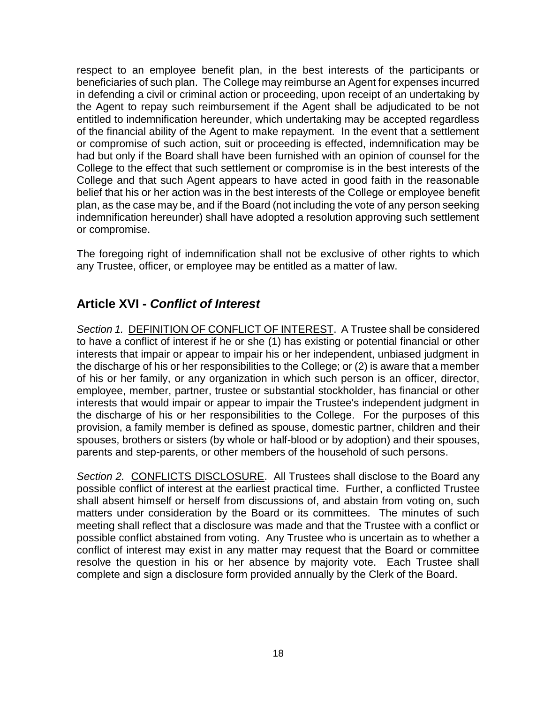respect to an employee benefit plan, in the best interests of the participants or beneficiaries of such plan. The College may reimburse an Agent for expenses incurred in defending a civil or criminal action or proceeding, upon receipt of an undertaking by the Agent to repay such reimbursement if the Agent shall be adjudicated to be not entitled to indemnification hereunder, which undertaking may be accepted regardless of the financial ability of the Agent to make repayment. In the event that a settlement or compromise of such action, suit or proceeding is effected, indemnification may be had but only if the Board shall have been furnished with an opinion of counsel for the College to the effect that such settlement or compromise is in the best interests of the College and that such Agent appears to have acted in good faith in the reasonable belief that his or her action was in the best interests of the College or employee benefit plan, as the case may be, and if the Board (not including the vote of any person seeking indemnification hereunder) shall have adopted a resolution approving such settlement or compromise.

The foregoing right of indemnification shall not be exclusive of other rights to which any Trustee, officer, or employee may be entitled as a matter of law.

# <span id="page-17-0"></span>**Article XVI -** *Conflict of Interest*

<span id="page-17-1"></span>*Section 1.* DEFINITION OF CONFLICT OF INTEREST. A Trustee shall be considered to have a conflict of interest if he or she (1) has existing or potential financial or other interests that impair or appear to impair his or her independent, unbiased judgment in the discharge of his or her responsibilities to the College; or (2) is aware that a member of his or her family, or any organization in which such person is an officer, director, employee, member, partner, trustee or substantial stockholder, has financial or other interests that would impair or appear to impair the Trustee's independent judgment in the discharge of his or her responsibilities to the College. For the purposes of this provision, a family member is defined as spouse, domestic partner, children and their spouses, brothers or sisters (by whole or half-blood or by adoption) and their spouses, parents and step-parents, or other members of the household of such persons.

<span id="page-17-2"></span>*Section 2.* CONFLICTS DISCLOSURE. All Trustees shall disclose to the Board any possible conflict of interest at the earliest practical time. Further, a conflicted Trustee shall absent himself or herself from discussions of, and abstain from voting on, such matters under consideration by the Board or its committees. The minutes of such meeting shall reflect that a disclosure was made and that the Trustee with a conflict or possible conflict abstained from voting. Any Trustee who is uncertain as to whether a conflict of interest may exist in any matter may request that the Board or committee resolve the question in his or her absence by majority vote. Each Trustee shall complete and sign a disclosure form provided annually by the Clerk of the Board.